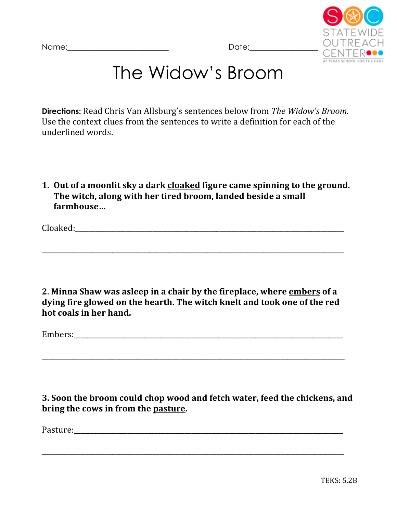

## The Widow's Broom

**Directions:** Read Chris Van Allsburg's sentences below from *The Widow's Broom.* Use the context clues from the sentences to write a definition for each of the underlined words.

**1.** Out of a moonlit sky a dark cloaked figure came spinning to the ground. The witch, along with her tired broom, landed beside a small **farmhouse…**

Cloaked:

**2**. **Minna Shaw was asleep in a chair by the fireplace, where embers of a** dying fire glowed on the hearth. The witch knelt and took one of the red hot coals in her hand.

\_\_\_\_\_\_\_\_\_\_\_\_\_\_\_\_\_\_\_\_\_\_\_\_\_\_\_\_\_\_\_\_\_\_\_\_\_\_\_\_\_\_\_\_\_\_\_\_\_\_\_\_\_\_\_\_\_\_\_\_\_\_\_\_\_\_\_\_\_\_\_\_\_\_\_\_\_\_\_\_\_\_\_\_\_\_\_\_\_\_

\_\_\_\_\_\_\_\_\_\_\_\_\_\_\_\_\_\_\_\_\_\_\_\_\_\_\_\_\_\_\_\_\_\_\_\_\_\_\_\_\_\_\_\_\_\_\_\_\_\_\_\_\_\_\_\_\_\_\_\_\_\_\_\_\_\_\_\_\_\_\_\_\_\_\_\_\_\_\_\_\_\_\_\_\_\_\_\_\_\_

Embers:

**3.** Soon the broom could chop wood and fetch water, feed the chickens, and bring the cows in from the pasture.

\_\_\_\_\_\_\_\_\_\_\_\_\_\_\_\_\_\_\_\_\_\_\_\_\_\_\_\_\_\_\_\_\_\_\_\_\_\_\_\_\_\_\_\_\_\_\_\_\_\_\_\_\_\_\_\_\_\_\_\_\_\_\_\_\_\_\_\_\_\_\_\_\_\_\_\_\_\_\_\_\_\_\_\_\_\_\_\_\_\_

Pasture:\_\_\_\_\_\_\_\_\_\_\_\_\_\_\_\_\_\_\_\_\_\_\_\_\_\_\_\_\_\_\_\_\_\_\_\_\_\_\_\_\_\_\_\_\_\_\_\_\_\_\_\_\_\_\_\_\_\_\_\_\_\_\_\_\_\_\_\_\_\_\_\_\_\_\_\_\_\_\_\_